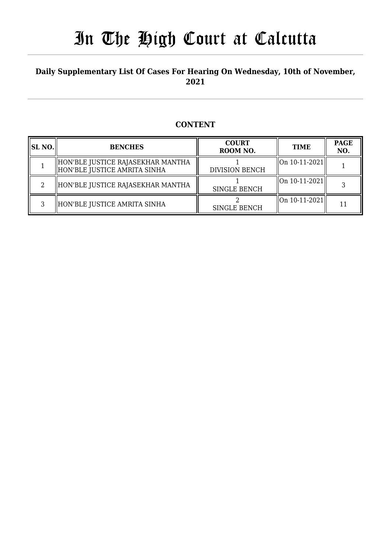#### **Daily Supplementary List Of Cases For Hearing On Wednesday, 10th of November, 2021**

#### **CONTENT**

| <b>SL NO.</b> | <b>BENCHES</b>                                                      | <b>COURT</b><br>ROOM NO. | TIME                                 | <b>PAGE</b><br>NO. |
|---------------|---------------------------------------------------------------------|--------------------------|--------------------------------------|--------------------|
|               | HON'BLE JUSTICE RAJASEKHAR MANTHA<br>  HON'BLE JUSTICE AMRITA SINHA | <b>DIVISION BENCH</b>    | $\left\vert 0n10-11-2021\right\vert$ |                    |
|               | HON'BLE JUSTICE RAJASEKHAR MANTHA                                   | SINGLE BENCH             | On 10-11-2021                        |                    |
|               | HON'BLE JUSTICE AMRITA SINHA                                        | SINGLE BENCH             | $\left\vert 0n10-11-2021\right\vert$ | 11                 |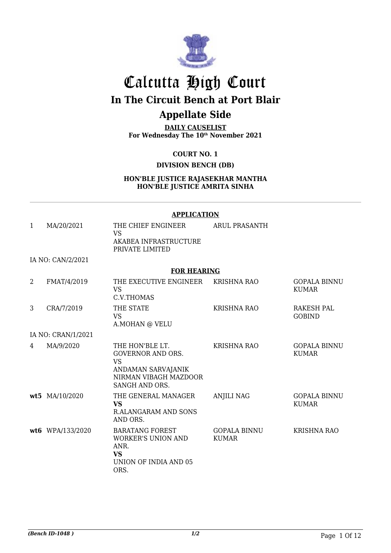

# Calcutta High Court **In The Circuit Bench at Port Blair**

### **Appellate Side**

**DAILY CAUSELIST For Wednesday The 10th November 2021**

**COURT NO. 1**

**DIVISION BENCH (DB)**

**HON'BLE JUSTICE RAJASEKHAR MANTHA HON'BLE JUSTICE AMRITA SINHA**

|                |                    | <b>APPLICATION</b>                                                                                                        |                                     |                                     |
|----------------|--------------------|---------------------------------------------------------------------------------------------------------------------------|-------------------------------------|-------------------------------------|
| 1              | MA/20/2021         | THE CHIEF ENGINEER<br><b>VS</b><br>AKABEA INFRASTRUCTURE<br>PRIVATE LIMITED                                               | ARUL PRASANTH                       |                                     |
|                | IA NO: CAN/2/2021  |                                                                                                                           |                                     |                                     |
|                |                    | <b>FOR HEARING</b>                                                                                                        |                                     |                                     |
| $\overline{2}$ | FMAT/4/2019        | THE EXECUTIVE ENGINEER<br><b>VS</b><br>C.V.THOMAS                                                                         | <b>KRISHNA RAO</b>                  | <b>GOPALA BINNU</b><br><b>KUMAR</b> |
| 3              | CRA/7/2019         | THE STATE<br><b>VS</b><br>A.MOHAN @ VELU                                                                                  | <b>KRISHNA RAO</b>                  | RAKESH PAL<br><b>GOBIND</b>         |
|                | IA NO: CRAN/1/2021 |                                                                                                                           |                                     |                                     |
| 4              | MA/9/2020          | THE HON'BLE LT.<br><b>GOVERNOR AND ORS.</b><br><b>VS</b><br>ANDAMAN SARVAJANIK<br>NIRMAN VIBAGH MAZDOOR<br>SANGH AND ORS. | <b>KRISHNA RAO</b>                  | <b>GOPALA BINNU</b><br><b>KUMAR</b> |
|                | wt5 MA/10/2020     | THE GENERAL MANAGER<br><b>VS</b><br><b>R.ALANGARAM AND SONS</b><br>AND ORS.                                               | <b>ANJILI NAG</b>                   | <b>GOPALA BINNU</b><br><b>KUMAR</b> |
|                | wt6 WPA/133/2020   | <b>BARATANG FOREST</b><br><b>WORKER'S UNION AND</b><br>ANR.<br><b>VS</b><br>UNION OF INDIA AND 05<br>ORS.                 | <b>GOPALA BINNU</b><br><b>KUMAR</b> | <b>KRISHNA RAO</b>                  |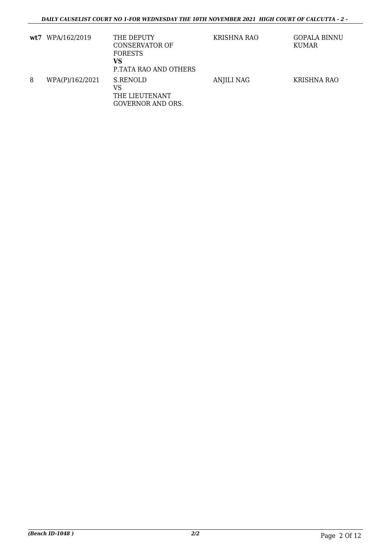|   | wt7 WPA/162/2019 | THE DEPUTY<br>CONSERVATOR OF<br><b>FORESTS</b><br>VS<br>P.TATA RAO AND OTHERS | KRISHNA RAO | <b>GOPALA BINNU</b><br>KUMAR |
|---|------------------|-------------------------------------------------------------------------------|-------------|------------------------------|
| 8 | WPA(P)/162/2021  | S.RENOLD<br>VS<br>THE LIEUTENANT<br><b>GOVERNOR AND ORS.</b>                  | ANJILI NAG  | KRISHNA RAO                  |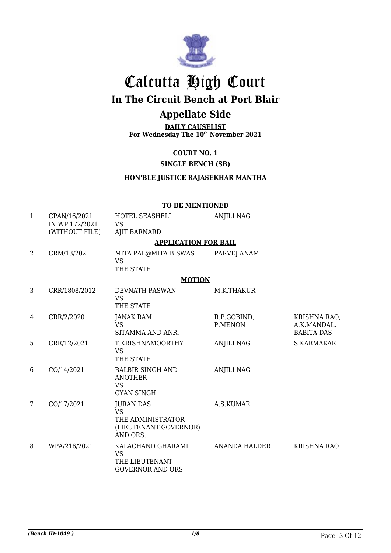

## Calcutta High Court **In The Circuit Bench at Port Blair**

### **Appellate Side**

**DAILY CAUSELIST For Wednesday The 10th November 2021**

#### **COURT NO. 1**

#### **SINGLE BENCH (SB)**

#### **HON'BLE JUSTICE RAJASEKHAR MANTHA**

## **TO BE MENTIONED**

| $\mathbf{1}$    | CPAN/16/2021<br>IN WP 172/2021<br>(WITHOUT FILE) | HOTEL SEASHELL<br><b>VS</b><br><b>AJIT BARNARD</b>                                      | <b>ANJILI NAG</b>      |                                                  |
|-----------------|--------------------------------------------------|-----------------------------------------------------------------------------------------|------------------------|--------------------------------------------------|
|                 |                                                  | <b>APPLICATION FOR BAIL</b>                                                             |                        |                                                  |
| 2               | CRM/13/2021                                      | MITA PAL@MITA BISWAS<br><b>VS</b><br>THE STATE                                          | PARVEJ ANAM            |                                                  |
|                 |                                                  | <b>MOTION</b>                                                                           |                        |                                                  |
| 3               | CRR/1808/2012                                    | DEVNATH PASWAN<br><b>VS</b><br>THE STATE                                                | M.K.THAKUR             |                                                  |
| 4               | CRR/2/2020                                       | <b>JANAK RAM</b><br>VS<br>SITAMMA AND ANR.                                              | R.P.GOBIND,<br>P.MENON | KRISHNA RAO,<br>A.K.MANDAL,<br><b>BABITA DAS</b> |
| 5               | CRR/12/2021                                      | T.KRISHNAMOORTHY<br>VS.<br>THE STATE                                                    | <b>ANJILI NAG</b>      | S.KARMAKAR                                       |
| 6               | CO/14/2021                                       | <b>BALBIR SINGH AND</b><br><b>ANOTHER</b><br><b>VS</b><br><b>GYAN SINGH</b>             | <b>ANJILI NAG</b>      |                                                  |
| $7\overline{ }$ | CO/17/2021                                       | <b>JURAN DAS</b><br><b>VS</b><br>THE ADMINISTRATOR<br>(LIEUTENANT GOVERNOR)<br>AND ORS. | A.S.KUMAR              |                                                  |
| 8               | WPA/216/2021                                     | KALACHAND GHARAMI<br><b>VS</b><br>THE LIEUTENANT<br><b>GOVERNOR AND ORS</b>             | ANANDA HALDER          | <b>KRISHNA RAO</b>                               |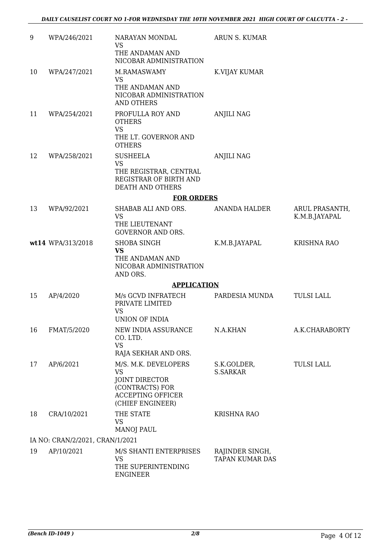| 9  | WPA/246/2021                    | NARAYAN MONDAL<br><b>VS</b><br>THE ANDAMAN AND<br>NICOBAR ADMINISTRATION                                                                              | ARUN S. KUMAR                             |                                 |
|----|---------------------------------|-------------------------------------------------------------------------------------------------------------------------------------------------------|-------------------------------------------|---------------------------------|
| 10 | WPA/247/2021                    | M.RAMASWAMY<br>VS<br>THE ANDAMAN AND<br>NICOBAR ADMINISTRATION<br><b>AND OTHERS</b>                                                                   | K.VIJAY KUMAR                             |                                 |
| 11 | WPA/254/2021                    | PROFULLA ROY AND<br><b>OTHERS</b><br><b>VS</b><br>THE LT. GOVERNOR AND<br><b>OTHERS</b>                                                               | <b>ANJILI NAG</b>                         |                                 |
| 12 | WPA/258/2021                    | <b>SUSHEELA</b><br><b>VS</b><br>THE REGISTRAR, CENTRAL<br>REGISTRAR OF BIRTH AND<br>DEATH AND OTHERS                                                  | <b>ANJILI NAG</b>                         |                                 |
|    |                                 | <b>FOR ORDERS</b>                                                                                                                                     |                                           |                                 |
| 13 | WPA/92/2021                     | SHABAB ALI AND ORS.<br><b>VS</b><br>THE LIEUTENANT                                                                                                    | ANANDA HALDER                             | ARUL PRASANTH,<br>K.M.B.JAYAPAL |
|    | wt14 WPA/313/2018               | <b>GOVERNOR AND ORS.</b><br>SHOBA SINGH<br><b>VS</b><br>THE ANDAMAN AND<br>NICOBAR ADMINISTRATION<br>AND ORS.                                         | K.M.B.JAYAPAL                             | <b>KRISHNA RAO</b>              |
|    |                                 | <b>APPLICATION</b>                                                                                                                                    |                                           |                                 |
| 15 | AP/4/2020                       | M/s GCVD INFRATECH<br>PRIVATE LIMITED<br><b>VS</b><br>UNION OF INDIA                                                                                  | PARDESIA MUNDA                            | <b>TULSI LALL</b>               |
| 16 | FMAT/5/2020                     | NEW INDIA ASSURANCE<br>CO. LTD.<br><b>VS</b>                                                                                                          | N.A.KHAN                                  | A.K.CHARABORTY                  |
| 17 | AP/6/2021                       | RAJA SEKHAR AND ORS.<br>M/S. M.K. DEVELOPERS<br><b>VS</b><br><b>JOINT DIRECTOR</b><br>(CONTRACTS) FOR<br><b>ACCEPTING OFFICER</b><br>(CHIEF ENGINEER) | S.K.GOLDER,<br><b>S.SARKAR</b>            | <b>TULSI LALL</b>               |
| 18 | CRA/10/2021                     | THE STATE<br><b>VS</b><br><b>MANOJ PAUL</b>                                                                                                           | <b>KRISHNA RAO</b>                        |                                 |
|    | IA NO: CRAN/2/2021, CRAN/1/2021 |                                                                                                                                                       |                                           |                                 |
| 19 | AP/10/2021                      | M/S SHANTI ENTERPRISES<br><b>VS</b><br>THE SUPERINTENDING<br>ENGINEER                                                                                 | RAJINDER SINGH,<br><b>TAPAN KUMAR DAS</b> |                                 |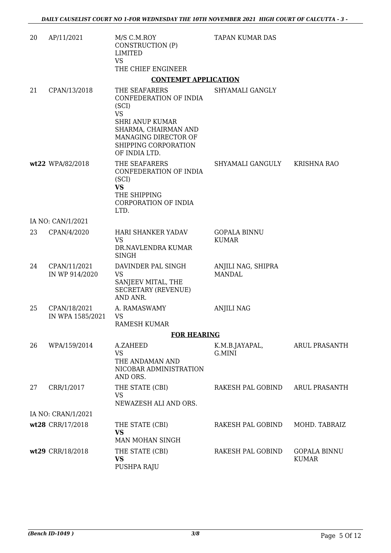| 20 | AP/11/2021                       | M/S C.M.ROY<br>CONSTRUCTION (P)<br>LIMITED<br><b>VS</b>                                                         | <b>TAPAN KUMAR DAS</b>              |                                     |
|----|----------------------------------|-----------------------------------------------------------------------------------------------------------------|-------------------------------------|-------------------------------------|
|    |                                  | THE CHIEF ENGINEER                                                                                              |                                     |                                     |
|    |                                  | <b>CONTEMPT APPLICATION</b>                                                                                     |                                     |                                     |
| 21 | CPAN/13/2018                     | THE SEAFARERS<br>CONFEDERATION OF INDIA<br>(SCI)<br><b>VS</b><br><b>SHRI ANUP KUMAR</b><br>SHARMA, CHAIRMAN AND | SHYAMALI GANGLY                     |                                     |
|    |                                  | MANAGING DIRECTOR OF<br>SHIPPING CORPORATION<br>OF INDIA LTD.                                                   |                                     |                                     |
|    | wt22 WPA/82/2018                 | THE SEAFARERS<br>CONFEDERATION OF INDIA<br>(SCI)<br><b>VS</b><br>THE SHIPPING<br>CORPORATION OF INDIA<br>LTD.   | SHYAMALI GANGULY                    | <b>KRISHNA RAO</b>                  |
|    | IA NO: CAN/1/2021                |                                                                                                                 |                                     |                                     |
| 23 | CPAN/4/2020                      | HARI SHANKER YADAV<br><b>VS</b><br>DR.NAVLENDRA KUMAR<br><b>SINGH</b>                                           | <b>GOPALA BINNU</b><br><b>KUMAR</b> |                                     |
| 24 | CPAN/11/2021<br>IN WP 914/2020   | DAVINDER PAL SINGH<br><b>VS</b><br>SANJEEV MITAL, THE<br><b>SECRETARY (REVENUE)</b><br>AND ANR.                 | ANJILI NAG, SHIPRA<br><b>MANDAL</b> |                                     |
| 25 | CPAN/18/2021<br>IN WPA 1585/2021 | A. RAMASWAMY<br>VS<br>RAMESH KUMAR                                                                              | <b>ANJILI NAG</b>                   |                                     |
|    |                                  | <b>FOR HEARING</b>                                                                                              |                                     |                                     |
| 26 | WPA/159/2014                     | A.ZAHEED<br><b>VS</b><br>THE ANDAMAN AND<br>NICOBAR ADMINISTRATION<br>AND ORS.                                  | K.M.B.JAYAPAL,<br>G.MINI            | <b>ARUL PRASANTH</b>                |
| 27 | CRR/1/2017                       | THE STATE (CBI)<br><b>VS</b><br>NEWAZESH ALI AND ORS.                                                           | RAKESH PAL GOBIND                   | <b>ARUL PRASANTH</b>                |
|    | IA NO: CRAN/1/2021               |                                                                                                                 |                                     |                                     |
|    | wt28 CRR/17/2018                 | THE STATE (CBI)<br><b>VS</b><br>MAN MOHAN SINGH                                                                 | RAKESH PAL GOBIND                   | MOHD. TABRAIZ                       |
|    | wt29 CRR/18/2018                 | THE STATE (CBI)<br><b>VS</b><br>PUSHPA RAJU                                                                     | RAKESH PAL GOBIND                   | <b>GOPALA BINNU</b><br><b>KUMAR</b> |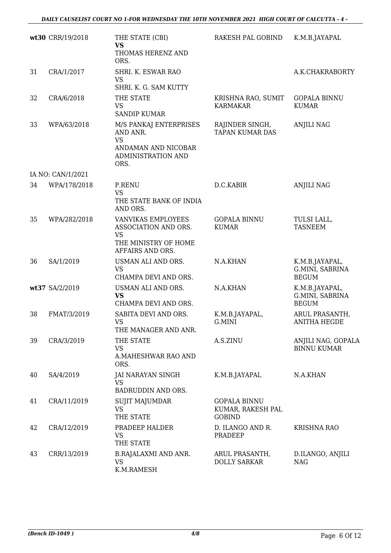|    | wt30 CRR/19/2018  | THE STATE (CBI)<br><b>VS</b><br>THOMAS HERENZ AND                                                          | RAKESH PAL GOBIND                                         | K.M.B.JAYAPAL                                     |
|----|-------------------|------------------------------------------------------------------------------------------------------------|-----------------------------------------------------------|---------------------------------------------------|
|    |                   | ORS.                                                                                                       |                                                           |                                                   |
| 31 | CRA/1/2017        | SHRI. K. ESWAR RAO<br><b>VS</b>                                                                            |                                                           | A.K.CHAKRABORTY                                   |
|    |                   | SHRI. K. G. SAM KUTTY                                                                                      |                                                           |                                                   |
| 32 | CRA/6/2018        | THE STATE<br><b>VS</b><br><b>SANDIP KUMAR</b>                                                              | KRISHNA RAO, SUMIT<br>KARMAKAR                            | <b>GOPALA BINNU</b><br><b>KUMAR</b>               |
| 33 | WPA/63/2018       | M/S PANKAJ ENTERPRISES<br>AND ANR.<br><b>VS</b><br>ANDAMAN AND NICOBAR<br>ADMINISTRATION AND<br>ORS.       | RAJINDER SINGH,<br><b>TAPAN KUMAR DAS</b>                 | <b>ANJILI NAG</b>                                 |
|    | IA NO: CAN/1/2021 |                                                                                                            |                                                           |                                                   |
| 34 | WPA/178/2018      | <b>P.RENU</b><br><b>VS</b><br>THE STATE BANK OF INDIA<br>AND ORS.                                          | D.C.KABIR                                                 | <b>ANJILI NAG</b>                                 |
| 35 | WPA/282/2018      | <b>VANVIKAS EMPLOYEES</b><br>ASSOCIATION AND ORS.<br><b>VS</b><br>THE MINISTRY OF HOME<br>AFFAIRS AND ORS. | <b>GOPALA BINNU</b><br><b>KUMAR</b>                       | TULSI LALL,<br><b>TASNEEM</b>                     |
| 36 | SA/1/2019         | USMAN ALI AND ORS.<br><b>VS</b><br>CHAMPA DEVI AND ORS.                                                    | N.A.KHAN                                                  | K.M.B.JAYAPAL,<br>G.MINI, SABRINA<br><b>BEGUM</b> |
|    | wt37 SA/2/2019    | USMAN ALI AND ORS.<br><b>VS</b><br>CHAMPA DEVI AND ORS.                                                    | N.A.KHAN                                                  | K.M.B.JAYAPAL,<br>G.MINI, SABRINA<br><b>BEGUM</b> |
| 38 | FMAT/3/2019       | SABITA DEVI AND ORS.<br>VS.<br>THE MANAGER AND ANR.                                                        | K.M.B.JAYAPAL,<br>G.MINI                                  | ARUL PRASANTH,<br><b>ANITHA HEGDE</b>             |
| 39 | CRA/3/2019        | THE STATE<br><b>VS</b><br>A.MAHESHWAR RAO AND<br>ORS.                                                      | A.S.ZINU                                                  | ANJILI NAG, GOPALA<br><b>BINNU KUMAR</b>          |
| 40 | SA/4/2019         | JAI NARAYAN SINGH<br><b>VS</b><br>BADRUDDIN AND ORS.                                                       | K.M.B.JAYAPAL                                             | N.A.KHAN                                          |
| 41 | CRA/11/2019       | <b>SUJIT MAJUMDAR</b><br><b>VS</b><br>THE STATE                                                            | <b>GOPALA BINNU</b><br>KUMAR, RAKESH PAL<br><b>GOBIND</b> |                                                   |
| 42 | CRA/12/2019       | PRADEEP HALDER<br><b>VS</b><br>THE STATE                                                                   | D. ILANGO AND R.<br>PRADEEP                               | <b>KRISHNA RAO</b>                                |
| 43 | CRR/13/2019       | <b>B.RAJALAXMI AND ANR.</b><br><b>VS</b><br>K.M.RAMESH                                                     | ARUL PRASANTH,<br><b>DOLLY SARKAR</b>                     | D.ILANGO, ANJILI<br><b>NAG</b>                    |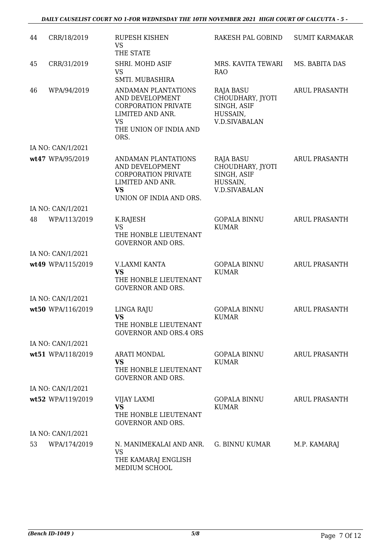#### *DAILY CAUSELIST COURT NO 1-FOR WEDNESDAY THE 10TH NOVEMBER 2021 HIGH COURT OF CALCUTTA - 5 -*

| 44 | CRR/18/2019       | <b>RUPESH KISHEN</b><br><b>VS</b><br>THE STATE                                                                                          | RAKESH PAL GOBIND                                                                | <b>SUMIT KARMAKAR</b> |
|----|-------------------|-----------------------------------------------------------------------------------------------------------------------------------------|----------------------------------------------------------------------------------|-----------------------|
| 45 | CRR/31/2019       | SHRI. MOHD ASIF<br><b>VS</b><br>SMTI. MUBASHIRA                                                                                         | MRS. KAVITA TEWARI<br><b>RAO</b>                                                 | MS. BABITA DAS        |
| 46 | WPA/94/2019       | ANDAMAN PLANTATIONS<br>AND DEVELOPMENT<br><b>CORPORATION PRIVATE</b><br>LIMITED AND ANR.<br><b>VS</b><br>THE UNION OF INDIA AND<br>ORS. | RAJA BASU<br>CHOUDHARY, JYOTI<br>SINGH, ASIF<br>HUSSAIN,<br><b>V.D.SIVABALAN</b> | <b>ARUL PRASANTH</b>  |
|    | IA NO: CAN/1/2021 |                                                                                                                                         |                                                                                  |                       |
|    | wt47 WPA/95/2019  | ANDAMAN PLANTATIONS<br>AND DEVELOPMENT<br><b>CORPORATION PRIVATE</b><br>LIMITED AND ANR.<br><b>VS</b><br>UNION OF INDIA AND ORS.        | RAJA BASU<br>CHOUDHARY, JYOTI<br>SINGH, ASIF<br>HUSSAIN,<br><b>V.D.SIVABALAN</b> | <b>ARUL PRASANTH</b>  |
|    | IA NO: CAN/1/2021 |                                                                                                                                         |                                                                                  |                       |
| 48 | WPA/113/2019      | K.RAJESH<br><b>VS</b><br>THE HONBLE LIEUTENANT<br><b>GOVERNOR AND ORS.</b>                                                              | <b>GOPALA BINNU</b><br><b>KUMAR</b>                                              | <b>ARUL PRASANTH</b>  |
|    | IA NO: CAN/1/2021 |                                                                                                                                         |                                                                                  |                       |
|    | wt49 WPA/115/2019 | V.LAXMI KANTA<br><b>VS</b><br>THE HONBLE LIEUTENANT<br><b>GOVERNOR AND ORS.</b>                                                         | <b>GOPALA BINNU</b><br><b>KUMAR</b>                                              | <b>ARUL PRASANTH</b>  |
|    | IA NO: CAN/1/2021 |                                                                                                                                         |                                                                                  |                       |
|    | wt50 WPA/116/2019 | LINGA RAJU<br><b>VS</b><br>THE HONBLE LIEUTENANT<br><b>GOVERNOR AND ORS.4 ORS</b>                                                       | <b>GOPALA BINNU</b><br><b>KUMAR</b>                                              | <b>ARUL PRASANTH</b>  |
|    | IA NO: CAN/1/2021 |                                                                                                                                         |                                                                                  |                       |
|    | wt51 WPA/118/2019 | ARATI MONDAL<br><b>VS</b><br>THE HONBLE LIEUTENANT<br><b>GOVERNOR AND ORS.</b>                                                          | <b>GOPALA BINNU</b><br><b>KUMAR</b>                                              | <b>ARUL PRASANTH</b>  |
|    | IA NO: CAN/1/2021 |                                                                                                                                         |                                                                                  |                       |
|    | wt52 WPA/119/2019 | VIJAY LAXMI<br><b>VS</b><br>THE HONBLE LIEUTENANT<br><b>GOVERNOR AND ORS.</b>                                                           | <b>GOPALA BINNU</b><br><b>KUMAR</b>                                              | <b>ARUL PRASANTH</b>  |
|    | IA NO: CAN/1/2021 |                                                                                                                                         |                                                                                  |                       |
| 53 | WPA/174/2019      | N. MANIMEKALAI AND ANR.<br>VS<br>THE KAMARAJ ENGLISH<br>MEDIUM SCHOOL                                                                   | G. BINNU KUMAR                                                                   | M.P. KAMARAJ          |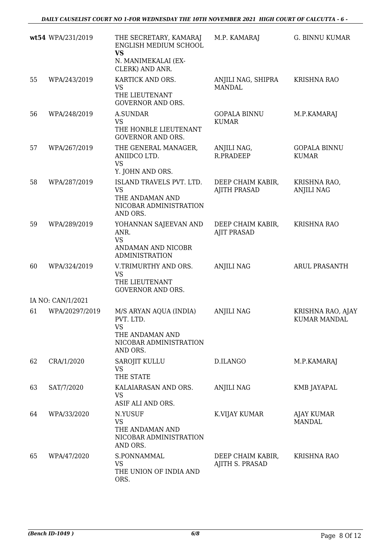|    | wt54 WPA/231/2019 | THE SECRETARY, KAMARAJ<br>ENGLISH MEDIUM SCHOOL<br><b>VS</b><br>N. MANIMEKALAI (EX-<br>CLERK) AND ANR.    | M.P. KAMARAJ                             | G. BINNU KUMAR                           |
|----|-------------------|-----------------------------------------------------------------------------------------------------------|------------------------------------------|------------------------------------------|
| 55 | WPA/243/2019      | KARTICK AND ORS.<br>VS<br>THE LIEUTENANT<br><b>GOVERNOR AND ORS.</b>                                      | ANJILI NAG, SHIPRA<br><b>MANDAL</b>      | <b>KRISHNA RAO</b>                       |
| 56 | WPA/248/2019      | <b>A.SUNDAR</b><br><b>VS</b><br>THE HONBLE LIEUTENANT<br><b>GOVERNOR AND ORS.</b>                         | <b>GOPALA BINNU</b><br><b>KUMAR</b>      | M.P.KAMARAJ                              |
| 57 | WPA/267/2019      | THE GENERAL MANAGER,<br>ANIIDCO LTD.<br><b>VS</b><br>Y. JOHN AND ORS.                                     | ANJILI NAG,<br>R.PRADEEP                 | <b>GOPALA BINNU</b><br><b>KUMAR</b>      |
| 58 | WPA/287/2019      | ISLAND TRAVELS PVT. LTD.<br><b>VS</b><br>THE ANDAMAN AND<br>NICOBAR ADMINISTRATION<br>AND ORS.            | DEEP CHAIM KABIR,<br><b>AJITH PRASAD</b> | KRISHNA RAO,<br><b>ANJILI NAG</b>        |
| 59 | WPA/289/2019      | YOHANNAN SAJEEVAN AND<br>ANR.<br><b>VS</b><br>ANDAMAN AND NICOBR<br><b>ADMINISTRATION</b>                 | DEEP CHAIM KABIR,<br><b>AJIT PRASAD</b>  | <b>KRISHNA RAO</b>                       |
| 60 | WPA/324/2019      | V.TRIMURTHY AND ORS.<br><b>VS</b><br>THE LIEUTENANT<br><b>GOVERNOR AND ORS.</b>                           | <b>ANJILI NAG</b>                        | <b>ARUL PRASANTH</b>                     |
|    | IA NO: CAN/1/2021 |                                                                                                           |                                          |                                          |
| 61 | WPA/20297/2019    | M/S ARYAN AQUA (INDIA)<br>PVT. LTD.<br><b>VS</b><br>THE ANDAMAN AND<br>NICOBAR ADMINISTRATION<br>AND ORS. | <b>ANJILI NAG</b>                        | KRISHNA RAO, AJAY<br><b>KUMAR MANDAL</b> |
| 62 | CRA/1/2020        | SAROJIT KULLU<br><b>VS</b><br>THE STATE                                                                   | D.ILANGO                                 | M.P.KAMARAJ                              |
| 63 | SAT/7/2020        | KALAIARASAN AND ORS.<br><b>VS</b><br>ASIF ALI AND ORS.                                                    | <b>ANJILI NAG</b>                        | KMB JAYAPAL                              |
| 64 | WPA/33/2020       | N.YUSUF<br><b>VS</b><br>THE ANDAMAN AND<br>NICOBAR ADMINISTRATION<br>AND ORS.                             | K.VIJAY KUMAR                            | AJAY KUMAR<br>MANDAL                     |
| 65 | WPA/47/2020       | S.PONNAMMAL<br><b>VS</b><br>THE UNION OF INDIA AND<br>ORS.                                                | DEEP CHAIM KABIR,<br>AJITH S. PRASAD     | <b>KRISHNA RAO</b>                       |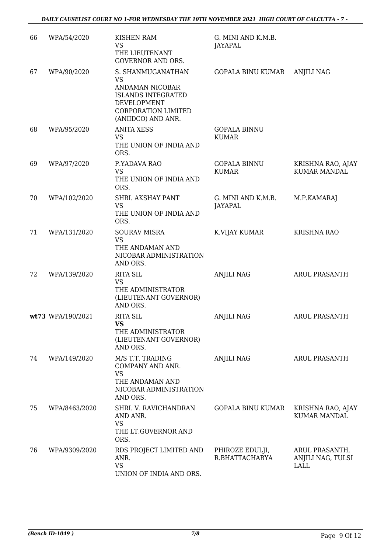| 66 | WPA/54/2020       | KISHEN RAM<br><b>VS</b><br>THE LIEUTENANT<br><b>GOVERNOR AND ORS.</b>                                                                             | G. MINI AND K.M.B.<br>JAYAPAL        |                                                    |
|----|-------------------|---------------------------------------------------------------------------------------------------------------------------------------------------|--------------------------------------|----------------------------------------------------|
| 67 | WPA/90/2020       | S. SHANMUGANATHAN<br><b>VS</b><br>ANDAMAN NICOBAR<br><b>ISLANDS INTEGRATED</b><br>DEVELOPMENT<br><b>CORPORATION LIMITED</b><br>(ANIIDCO) AND ANR. | <b>GOPALA BINU KUMAR</b>             | <b>ANJILI NAG</b>                                  |
| 68 | WPA/95/2020       | <b>ANITA XESS</b><br><b>VS</b><br>THE UNION OF INDIA AND<br>ORS.                                                                                  | <b>GOPALA BINNU</b><br><b>KUMAR</b>  |                                                    |
| 69 | WPA/97/2020       | P.YADAVA RAO<br><b>VS</b><br>THE UNION OF INDIA AND<br>ORS.                                                                                       | <b>GOPALA BINNU</b><br><b>KUMAR</b>  | KRISHNA RAO, AJAY<br><b>KUMAR MANDAL</b>           |
| 70 | WPA/102/2020      | SHRI. AKSHAY PANT<br><b>VS</b><br>THE UNION OF INDIA AND<br>ORS.                                                                                  | G. MINI AND K.M.B.<br><b>JAYAPAL</b> | M.P.KAMARAJ                                        |
| 71 | WPA/131/2020      | <b>SOURAV MISRA</b><br><b>VS</b><br>THE ANDAMAN AND<br>NICOBAR ADMINISTRATION<br>AND ORS.                                                         | K.VIJAY KUMAR                        | <b>KRISHNA RAO</b>                                 |
| 72 | WPA/139/2020      | <b>RITA SIL</b><br><b>VS</b><br>THE ADMINISTRATOR<br>(LIEUTENANT GOVERNOR)<br>AND ORS.                                                            | <b>ANJILI NAG</b>                    | <b>ARUL PRASANTH</b>                               |
|    | wt73 WPA/190/2021 | <b>RITA SIL</b><br><b>VS</b><br>THE ADMINISTRATOR<br>(LIEUTENANT GOVERNOR)<br>AND ORS.                                                            | <b>ANJILI NAG</b>                    | <b>ARUL PRASANTH</b>                               |
| 74 | WPA/149/2020      | M/S T.T. TRADING<br>COMPANY AND ANR.<br><b>VS</b><br>THE ANDAMAN AND<br>NICOBAR ADMINISTRATION<br>AND ORS.                                        | <b>ANJILI NAG</b>                    | <b>ARUL PRASANTH</b>                               |
| 75 | WPA/8463/2020     | SHRI. V. RAVICHANDRAN<br>AND ANR.<br><b>VS</b><br>THE LT.GOVERNOR AND<br>ORS.                                                                     | <b>GOPALA BINU KUMAR</b>             | KRISHNA RAO, AJAY<br><b>KUMAR MANDAL</b>           |
| 76 | WPA/9309/2020     | RDS PROJECT LIMITED AND<br>ANR.<br><b>VS</b><br>UNION OF INDIA AND ORS.                                                                           | PHIROZE EDULJI,<br>R.BHATTACHARYA    | ARUL PRASANTH,<br>ANJILI NAG, TULSI<br><b>LALL</b> |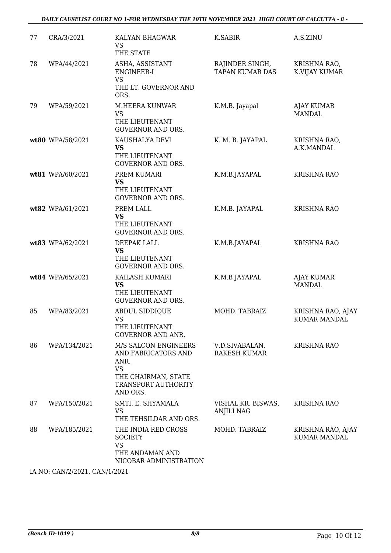#### *DAILY CAUSELIST COURT NO 1-FOR WEDNESDAY THE 10TH NOVEMBER 2021 HIGH COURT OF CALCUTTA - 8 -*

| 77 | CRA/3/2021       | KALYAN BHAGWAR<br><b>VS</b><br>THE STATE                                                                                   | K.SABIR                                   | A.S.ZINU                                 |
|----|------------------|----------------------------------------------------------------------------------------------------------------------------|-------------------------------------------|------------------------------------------|
| 78 | WPA/44/2021      | ASHA, ASSISTANT<br>ENGINEER-I<br><b>VS</b><br>THE LT. GOVERNOR AND<br>ORS.                                                 | RAJINDER SINGH,<br><b>TAPAN KUMAR DAS</b> | KRISHNA RAO,<br>K.VIJAY KUMAR            |
| 79 | WPA/59/2021      | <b>M.HEERA KUNWAR</b><br><b>VS</b><br>THE LIEUTENANT<br><b>GOVERNOR AND ORS.</b>                                           | K.M.B. Jayapal                            | <b>AJAY KUMAR</b><br><b>MANDAL</b>       |
|    | wt80 WPA/58/2021 | KAUSHALYA DEVI<br>VS<br>THE LIEUTENANT<br><b>GOVERNOR AND ORS.</b>                                                         | K. M. B. JAYAPAL                          | KRISHNA RAO,<br>A.K.MANDAL               |
|    | wt81 WPA/60/2021 | PREM KUMARI<br><b>VS</b><br>THE LIEUTENANT<br><b>GOVERNOR AND ORS.</b>                                                     | K.M.B.JAYAPAL                             | <b>KRISHNA RAO</b>                       |
|    | wt82 WPA/61/2021 | PREM LALL<br><b>VS</b><br>THE LIEUTENANT<br><b>GOVERNOR AND ORS.</b>                                                       | K.M.B. JAYAPAL                            | <b>KRISHNA RAO</b>                       |
|    | wt83 WPA/62/2021 | DEEPAK LALL<br><b>VS</b><br>THE LIEUTENANT<br><b>GOVERNOR AND ORS.</b>                                                     | K.M.B.JAYAPAL                             | <b>KRISHNA RAO</b>                       |
|    | wt84 WPA/65/2021 | KAILASH KUMARI<br><b>VS</b><br>THE LIEUTENANT<br><b>GOVERNOR AND ORS.</b>                                                  | K.M.B JAYAPAL                             | <b>AJAY KUMAR</b><br><b>MANDAL</b>       |
| 85 | WPA/83/2021      | <b>ABDUL SIDDIQUE</b><br><b>VS</b><br>THE LIEUTENANT<br><b>GOVERNOR AND ANR.</b>                                           | MOHD. TABRAIZ                             | KRISHNA RAO, AJAY<br><b>KUMAR MANDAL</b> |
| 86 | WPA/134/2021     | M/S SALCON ENGINEERS<br>AND FABRICATORS AND<br>ANR.<br><b>VS</b><br>THE CHAIRMAN, STATE<br>TRANSPORT AUTHORITY<br>AND ORS. | V.D.SIVABALAN,<br><b>RAKESH KUMAR</b>     | <b>KRISHNA RAO</b>                       |
| 87 | WPA/150/2021     | SMTI. E. SHYAMALA<br><b>VS</b><br>THE TEHSILDAR AND ORS.                                                                   | VISHAL KR. BISWAS,<br><b>ANJILI NAG</b>   | <b>KRISHNA RAO</b>                       |
| 88 | WPA/185/2021     | THE INDIA RED CROSS<br><b>SOCIETY</b><br><b>VS</b><br>THE ANDAMAN AND<br>NICOBAR ADMINISTRATION                            | MOHD. TABRAIZ                             | KRISHNA RAO, AJAY<br><b>KUMAR MANDAL</b> |

IA NO: CAN/2/2021, CAN/1/2021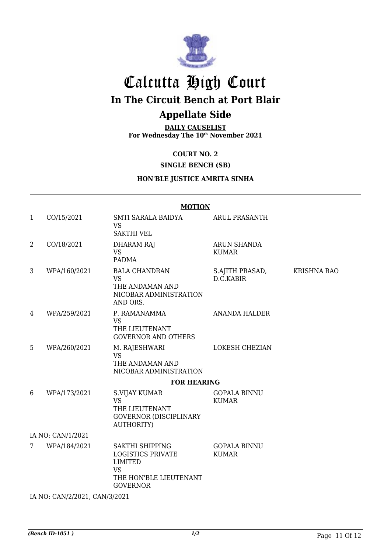

## Calcutta High Court **In The Circuit Bench at Port Blair Appellate Side**

**DAILY CAUSELIST For Wednesday The 10th November 2021**

**COURT NO. 2**

#### **SINGLE BENCH (SB)**

#### **HON'BLE JUSTICE AMRITA SINHA**

#### **MOTION**

| 1 | CO/15/2021                                                                                                                             | SMTI SARALA BAIDYA<br><b>VS</b><br><b>SAKTHI VEL</b>                                                                    | <b>ARUL PRASANTH</b>                |                    |  |  |
|---|----------------------------------------------------------------------------------------------------------------------------------------|-------------------------------------------------------------------------------------------------------------------------|-------------------------------------|--------------------|--|--|
| 2 | CO/18/2021                                                                                                                             | <b>DHARAM RAJ</b><br><b>VS</b><br><b>PADMA</b>                                                                          | <b>ARUN SHANDA</b><br><b>KUMAR</b>  |                    |  |  |
| 3 | WPA/160/2021                                                                                                                           | <b>BALA CHANDRAN</b><br><b>VS</b><br>THE ANDAMAN AND<br>NICOBAR ADMINISTRATION<br>AND ORS.                              | S.AJITH PRASAD,<br>D.C.KABIR        | <b>KRISHNA RAO</b> |  |  |
| 4 | WPA/259/2021                                                                                                                           | P. RAMANAMMA<br><b>VS</b><br>THE LIEUTENANT<br><b>GOVERNOR AND OTHERS</b>                                               | <b>ANANDA HALDER</b>                |                    |  |  |
| 5 | WPA/260/2021                                                                                                                           | M. RAJESHWARI<br><b>VS</b><br>THE ANDAMAN AND<br>NICOBAR ADMINISTRATION                                                 | LOKESH CHEZIAN                      |                    |  |  |
|   |                                                                                                                                        | <b>FOR HEARING</b>                                                                                                      |                                     |                    |  |  |
| 6 | WPA/173/2021                                                                                                                           | S.VIJAY KUMAR<br><b>VS</b><br>THE LIEUTENANT<br><b>GOVERNOR (DISCIPLINARY</b><br><b>AUTHORITY)</b>                      | <b>GOPALA BINNU</b><br><b>KUMAR</b> |                    |  |  |
|   | IA NO: CAN/1/2021                                                                                                                      |                                                                                                                         |                                     |                    |  |  |
| 7 | WPA/184/2021                                                                                                                           | SAKTHI SHIPPING<br><b>LOGISTICS PRIVATE</b><br><b>LIMITED</b><br><b>VS</b><br>THE HON'BLE LIEUTENANT<br><b>GOVERNOR</b> | <b>GOPALA BINNU</b><br><b>KUMAR</b> |                    |  |  |
|   | $\overline{11}$ $\overline{10}$ $\overline{01}$ $\overline{110}$ $\overline{1001}$ $\overline{101}$ $\overline{110}$ $\overline{1001}$ |                                                                                                                         |                                     |                    |  |  |

IA NO: CAN/2/2021, CAN/3/2021